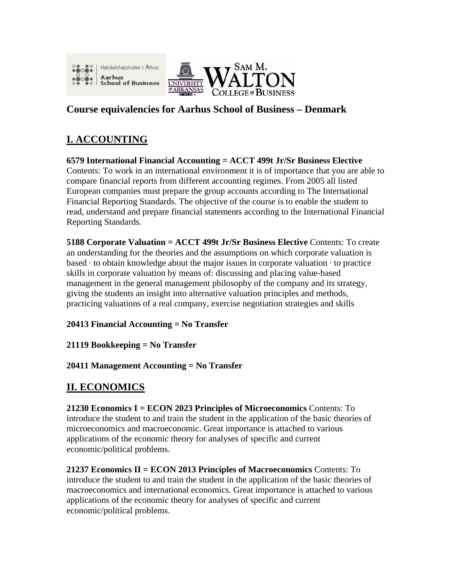



## **Course equivalencies for Aarhus School of Business – Denmark**

# **I. ACCOUNTING**

**6579 International Financial Accounting = ACCT 499t Jr/Sr Business Elective**  Contents: To work in an international environment it is of importance that you are able to compare financial reports from different accounting regimes. From 2005 all listed European companies must prepare the group accounts according to The International Financial Reporting Standards. The objective of the course is to enable the student to read, understand and prepare financial statements according to the International Financial Reporting Standards.

**5188 Corporate Valuation = ACCT 499t Jr/Sr Business Elective** Contents: To create an understanding for the theories and the assumptions on which corporate valuation is based  $\cdot$  to obtain knowledge about the major issues in corporate valuation  $\cdot$  to practice skills in corporate valuation by means of: discussing and placing value-based management in the general management philosophy of the company and its strategy, giving the students an insight into alternative valuation principles and methods, practicing valuations of a real company, exercise negotiation strategies and skills

**20413 Financial Accounting = No Transfer** 

**21119 Bookkeeping = No Transfer** 

**20411 Management Accounting = No Transfer** 

# **II. ECONOMICS**

**21230 Economics I = ECON 2023 Principles of Microeconomics** Contents: To introduce the student to and train the student in the application of the basic theories of microeconomics and macroeconomic. Great importance is attached to various applications of the economic theory for analyses of specific and current economic/political problems.

**21237 Economics II = ECON 2013 Principles of Macroeconomics** Contents: To introduce the student to and train the student in the application of the basic theories of macroeconomics and international economics. Great importance is attached to various applications of the economic theory for analyses of specific and current economic/political problems.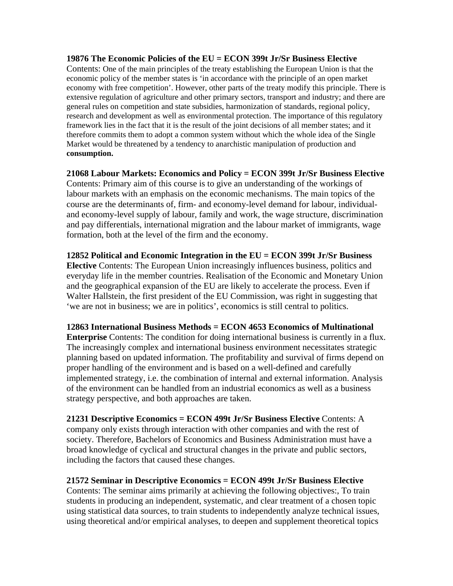#### **19876 The Economic Policies of the EU = ECON 399t Jr/Sr Business Elective**

Contents: One of the main principles of the treaty establishing the European Union is that the economic policy of the member states is 'in accordance with the principle of an open market economy with free competition'. However, other parts of the treaty modify this principle. There is extensive regulation of agriculture and other primary sectors, transport and industry; and there are general rules on competition and state subsidies, harmonization of standards, regional policy, research and development as well as environmental protection. The importance of this regulatory framework lies in the fact that it is the result of the joint decisions of all member states; and it therefore commits them to adopt a common system without which the whole idea of the Single Market would be threatened by a tendency to anarchistic manipulation of production and **consumption.** 

**21068 Labour Markets: Economics and Policy = ECON 399t Jr/Sr Business Elective**  Contents: Primary aim of this course is to give an understanding of the workings of labour markets with an emphasis on the economic mechanisms. The main topics of the course are the determinants of, firm- and economy-level demand for labour, individualand economy-level supply of labour, family and work, the wage structure, discrimination and pay differentials, international migration and the labour market of immigrants, wage formation, both at the level of the firm and the economy.

**12852 Political and Economic Integration in the EU = ECON 399t Jr/Sr Business Elective** Contents: The European Union increasingly influences business, politics and everyday life in the member countries. Realisation of the Economic and Monetary Union and the geographical expansion of the EU are likely to accelerate the process. Even if Walter Hallstein, the first president of the EU Commission, was right in suggesting that 'we are not in business; we are in politics', economics is still central to politics.

**12863 International Business Methods = ECON 4653 Economics of Multinational** 

**Enterprise** Contents: The condition for doing international business is currently in a flux. The increasingly complex and international business environment necessitates strategic planning based on updated information. The profitability and survival of firms depend on proper handling of the environment and is based on a well-defined and carefully implemented strategy, i.e. the combination of internal and external information. Analysis of the environment can be handled from an industrial economics as well as a business strategy perspective, and both approaches are taken.

**21231 Descriptive Economics = ECON 499t Jr/Sr Business Elective** Contents: A company only exists through interaction with other companies and with the rest of society. Therefore, Bachelors of Economics and Business Administration must have a broad knowledge of cyclical and structural changes in the private and public sectors, including the factors that caused these changes.

#### **21572 Seminar in Descriptive Economics = ECON 499t Jr/Sr Business Elective**

Contents: The seminar aims primarily at achieving the following objectives:, To train students in producing an independent, systematic, and clear treatment of a chosen topic using statistical data sources, to train students to independently analyze technical issues, using theoretical and/or empirical analyses, to deepen and supplement theoretical topics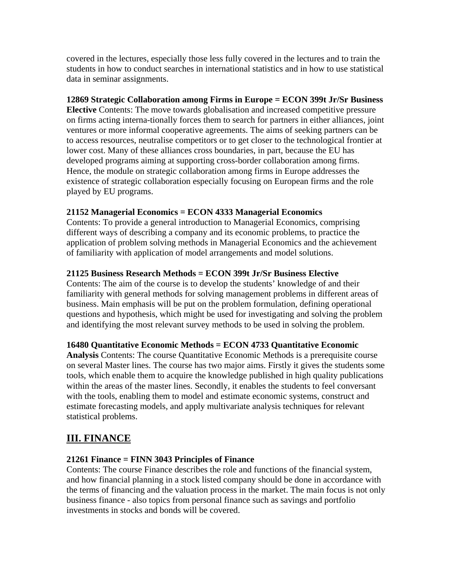covered in the lectures, especially those less fully covered in the lectures and to train the students in how to conduct searches in international statistics and in how to use statistical data in seminar assignments.

## **12869 Strategic Collaboration among Firms in Europe = ECON 399t Jr/Sr Business**

**Elective** Contents: The move towards globalisation and increased competitive pressure on firms acting interna-tionally forces them to search for partners in either alliances, joint ventures or more informal cooperative agreements. The aims of seeking partners can be to access resources, neutralise competitors or to get closer to the technological frontier at lower cost. Many of these alliances cross boundaries, in part, because the EU has developed programs aiming at supporting cross-border collaboration among firms. Hence, the module on strategic collaboration among firms in Europe addresses the existence of strategic collaboration especially focusing on European firms and the role played by EU programs.

## **21152 Managerial Economics = ECON 4333 Managerial Economics**

Contents: To provide a general introduction to Managerial Economics, comprising different ways of describing a company and its economic problems, to practice the application of problem solving methods in Managerial Economics and the achievement of familiarity with application of model arrangements and model solutions.

## **21125 Business Research Methods = ECON 399t Jr/Sr Business Elective**

Contents: The aim of the course is to develop the students' knowledge of and their familiarity with general methods for solving management problems in different areas of business. Main emphasis will be put on the problem formulation, defining operational questions and hypothesis, which might be used for investigating and solving the problem and identifying the most relevant survey methods to be used in solving the problem.

## **16480 Quantitative Economic Methods = ECON 4733 Quantitative Economic**

**Analysis** Contents: The course Quantitative Economic Methods is a prerequisite course on several Master lines. The course has two major aims. Firstly it gives the students some tools, which enable them to acquire the knowledge published in high quality publications within the areas of the master lines. Secondly, it enables the students to feel conversant with the tools, enabling them to model and estimate economic systems, construct and estimate forecasting models, and apply multivariate analysis techniques for relevant statistical problems.

## **III. FINANCE**

## **21261 Finance = FINN 3043 Principles of Finance**

Contents: The course Finance describes the role and functions of the financial system, and how financial planning in a stock listed company should be done in accordance with the terms of financing and the valuation process in the market. The main focus is not only business finance - also topics from personal finance such as savings and portfolio investments in stocks and bonds will be covered.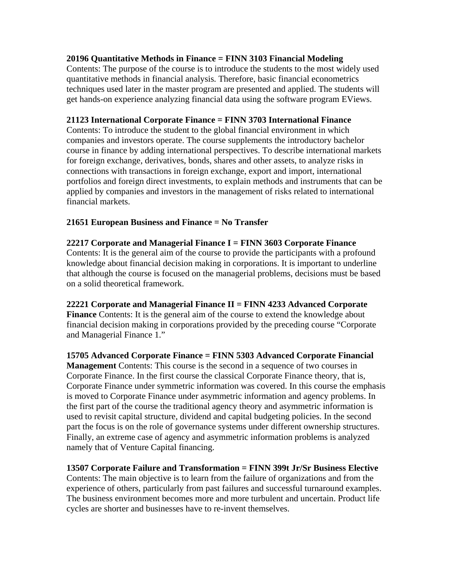#### **20196 Quantitative Methods in Finance = FINN 3103 Financial Modeling**

Contents: The purpose of the course is to introduce the students to the most widely used quantitative methods in financial analysis. Therefore, basic financial econometrics techniques used later in the master program are presented and applied. The students will get hands-on experience analyzing financial data using the software program EViews.

#### **21123 International Corporate Finance = FINN 3703 International Finance**

Contents: To introduce the student to the global financial environment in which companies and investors operate. The course supplements the introductory bachelor course in finance by adding international perspectives. To describe international markets for foreign exchange, derivatives, bonds, shares and other assets, to analyze risks in connections with transactions in foreign exchange, export and import, international portfolios and foreign direct investments, to explain methods and instruments that can be applied by companies and investors in the management of risks related to international financial markets.

## **21651 European Business and Finance = No Transfer**

#### **22217 Corporate and Managerial Finance I = FINN 3603 Corporate Finance**  Contents: It is the general aim of the course to provide the participants with a profound knowledge about financial decision making in corporations. It is important to underline that although the course is focused on the managerial problems, decisions must be based on a solid theoretical framework.

## **22221 Corporate and Managerial Finance II = FINN 4233 Advanced Corporate**

**Finance** Contents: It is the general aim of the course to extend the knowledge about financial decision making in corporations provided by the preceding course "Corporate and Managerial Finance 1."

**15705 Advanced Corporate Finance = FINN 5303 Advanced Corporate Financial Management** Contents: This course is the second in a sequence of two courses in Corporate Finance. In the first course the classical Corporate Finance theory, that is, Corporate Finance under symmetric information was covered. In this course the emphasis is moved to Corporate Finance under asymmetric information and agency problems. In the first part of the course the traditional agency theory and asymmetric information is used to revisit capital structure, dividend and capital budgeting policies. In the second part the focus is on the role of governance systems under different ownership structures. Finally, an extreme case of agency and asymmetric information problems is analyzed namely that of Venture Capital financing.

## **13507 Corporate Failure and Transformation = FINN 399t Jr/Sr Business Elective**

Contents: The main objective is to learn from the failure of organizations and from the experience of others, particularly from past failures and successful turnaround examples. The business environment becomes more and more turbulent and uncertain. Product life cycles are shorter and businesses have to re-invent themselves.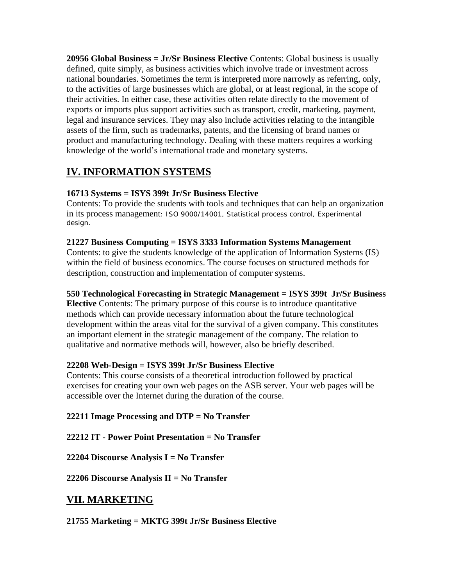**20956 Global Business = Jr/Sr Business Elective** Contents: Global business is usually defined, quite simply, as business activities which involve trade or investment across national boundaries. Sometimes the term is interpreted more narrowly as referring, only, to the activities of large businesses which are global, or at least regional, in the scope of their activities. In either case, these activities often relate directly to the movement of exports or imports plus support activities such as transport, credit, marketing, payment, legal and insurance services. They may also include activities relating to the intangible assets of the firm, such as trademarks, patents, and the licensing of brand names or product and manufacturing technology. Dealing with these matters requires a working knowledge of the world's international trade and monetary systems.

# **IV. INFORMATION SYSTEMS**

## **16713 Systems = ISYS 399t Jr/Sr Business Elective**

Contents: To provide the students with tools and techniques that can help an organization in its process management: ISO 9000/14001, Statistical process control, Experimental design.

## **21227 Business Computing = ISYS 3333 Information Systems Management**

Contents: to give the students knowledge of the application of Information Systems (IS) within the field of business economics. The course focuses on structured methods for description, construction and implementation of computer systems.

## **550 Technological Forecasting in Strategic Management = ISYS 399t Jr/Sr Business**

**Elective** Contents: The primary purpose of this course is to introduce quantitative methods which can provide necessary information about the future technological development within the areas vital for the survival of a given company. This constitutes an important element in the strategic management of the company. The relation to qualitative and normative methods will, however, also be briefly described.

## **22208 Web-Design = ISYS 399t Jr/Sr Business Elective**

Contents: This course consists of a theoretical introduction followed by practical exercises for creating your own web pages on the ASB server. Your web pages will be accessible over the Internet during the duration of the course.

## **22211 Image Processing and DTP = No Transfer**

**22212 IT - Power Point Presentation = No Transfer** 

**22204 Discourse Analysis I = No Transfer** 

**22206 Discourse Analysis II = No Transfer** 

## **VII. MARKETING**

**21755 Marketing = MKTG 399t Jr/Sr Business Elective**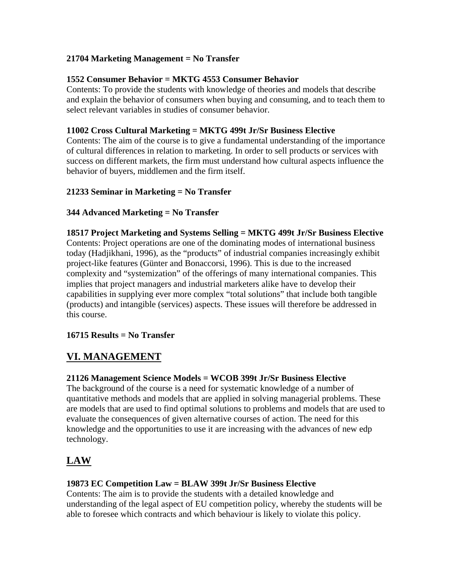## **21704 Marketing Management = No Transfer**

## **1552 Consumer Behavior = MKTG 4553 Consumer Behavior**

Contents: To provide the students with knowledge of theories and models that describe and explain the behavior of consumers when buying and consuming, and to teach them to select relevant variables in studies of consumer behavior.

## **11002 Cross Cultural Marketing = MKTG 499t Jr/Sr Business Elective**

Contents: The aim of the course is to give a fundamental understanding of the importance of cultural differences in relation to marketing. In order to sell products or services with success on different markets, the firm must understand how cultural aspects influence the behavior of buyers, middlemen and the firm itself.

## **21233 Seminar in Marketing = No Transfer**

## **344 Advanced Marketing = No Transfer**

## **18517 Project Marketing and Systems Selling = MKTG 499t Jr/Sr Business Elective**

Contents: Project operations are one of the dominating modes of international business today (Hadjikhani, 1996), as the "products" of industrial companies increasingly exhibit project-like features (Günter and Bonaccorsi, 1996). This is due to the increased complexity and "systemization" of the offerings of many international companies. This implies that project managers and industrial marketers alike have to develop their capabilities in supplying ever more complex "total solutions" that include both tangible (products) and intangible (services) aspects. These issues will therefore be addressed in this course.

## **16715 Results = No Transfer**

## **VI. MANAGEMENT**

## **21126 Management Science Models = WCOB 399t Jr/Sr Business Elective**

The background of the course is a need for systematic knowledge of a number of quantitative methods and models that are applied in solving managerial problems. These are models that are used to find optimal solutions to problems and models that are used to evaluate the consequences of given alternative courses of action. The need for this knowledge and the opportunities to use it are increasing with the advances of new edp technology.

# **LAW**

## **19873 EC Competition Law = BLAW 399t Jr/Sr Business Elective**

Contents: The aim is to provide the students with a detailed knowledge and understanding of the legal aspect of EU competition policy, whereby the students will be able to foresee which contracts and which behaviour is likely to violate this policy.